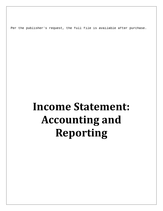Per the publisher's request, the full file is available after purchase.

## **Income Statement: Accounting and Reporting**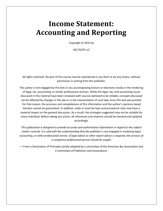## **Income Statement: Accounting and Reporting**

Copyright 2014 *by*

DELTACPE LLC

All rights reserved. No part of this course may be reproduced in any form or by any means, without permission in writing from the publisher.

The author is not engaged by this text or any accompanying lecture or electronic media in the rendering of legal, tax, accounting, or similar professional services. While the legal, tax, and accounting issues discussed in this material have been reviewed with sources believed to be reliable, concepts discussed can be affected by changes in the law or in the interpretation of such laws since this text was printed. For that reason, the accuracy and completeness of this information and the author's opinions based thereon cannot be guaranteed. In addition, state or local tax laws and procedural rules may have a material impact on the general discussion. As a result, the strategies suggested may not be suitable for every individual. Before taking any action, all references and citations should be checked and updated accordingly.

*This publication is designed to provide accurate and authoritative information in regard to the subject matter covered. It is sold with the understanding that the publisher is not engaged in rendering legal, accounting, or other professional service. If legal advice or other expert advice is required, the services of a competent professional person should be sought.*

—-From a Declaration of Principles jointly adopted by a committee of the American Bar Association and a Committee of Publishers and Associations.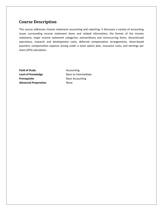## **Course Description**

This course addresses income statement accounting and reporting. It discusses a variety of accounting issues surrounding income statement items and related information; the format of the income statement, major income statement categories, extraordinary and nonrecurring items, discontinued operations, research and development costs, deferred compensation arrangements, share-based payment, compensation expense arising under a stock option plan, insurance costs, and earnings per share (EPS) calculation.

**Field of Study Accounting** Level of Knowledge **Basic to Intermediate Prerequisite** Basic Accounting **Advanced Preparation** None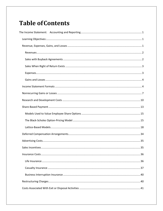## **Table of Contents**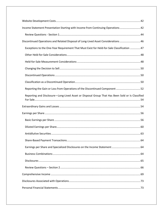| Income Statement Presentation Starting with Income from Continuing Operations 42                |
|-------------------------------------------------------------------------------------------------|
|                                                                                                 |
| Discontinued Operations and Related Disposal of Long-Lived Asset Considerations  46             |
| Exceptions to the One-Year Requirement That Must Exist for Held-for-Sale Classification  47     |
|                                                                                                 |
|                                                                                                 |
|                                                                                                 |
|                                                                                                 |
|                                                                                                 |
| Reporting the Gain or Loss from Operations of the Discontinued Component 52                     |
| Reporting and Disclosure-Long-Lived Asset or Disposal Group That Has Been Sold or Is Classified |
|                                                                                                 |
|                                                                                                 |
|                                                                                                 |
|                                                                                                 |
|                                                                                                 |
|                                                                                                 |
|                                                                                                 |
|                                                                                                 |
|                                                                                                 |
|                                                                                                 |
|                                                                                                 |
|                                                                                                 |
|                                                                                                 |